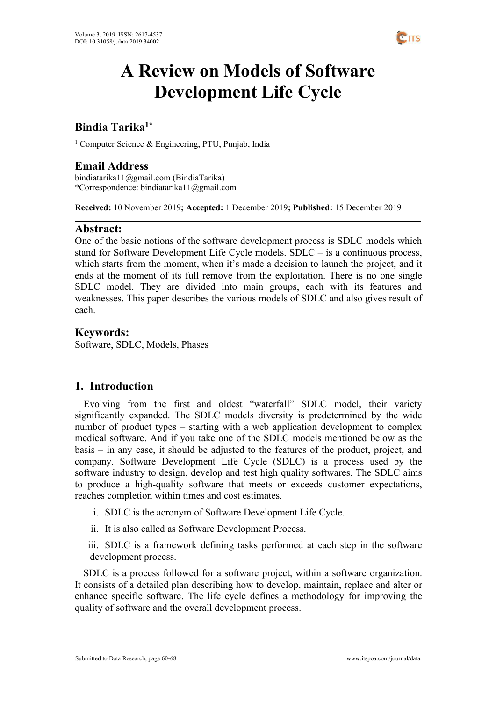

# **A Review on Models of Software Development Life Cycle**

#### **Bindia Tarika 1\***

<sup>1</sup> Computer Science & Engineering, PTU, Punjab, India

# **Email Address**

bindiatarika11@gmail.com (BindiaTarika) \*Correspondence: bindiatarika11@gmail.com

**Received:** 10 November 2019**; Accepted:** 1 December 2019**; Published:** 15 December 2019

# **Abstract:**

One of the basic notions of the software development process is SDLC models which stand for Software Development Life Cycle models. SDLC – is a continuous process, which starts from the moment, when it's made a decision to launch the project, and it ends at the moment of its full remove from the exploitation. There is no one single SDLC model. They are divided into main groups, each with its features and weaknesses. This paper describes the various models of SDLC and also gives result of each.

# **Keywords:**

Software, SDLC, Models, Phases

# **1. Introduction**

Evolving from the first and oldest "waterfall" SDLC model, their variety significantly expanded. The SDLC models diversity is predetermined by the wide number of product types – starting with a web application [development](https://existek.com/blog/how-much-cost-develop-web-application-cost-estimation/) to complex medical software. And if you take one of the SDLC models mentioned below as the  $basis - in any case, it should be adjusted to the features of the product, project, and$ company. Software Development Life Cycle (SDLC) is a process used by the software industry to design, develop and test high quality softwares. The SDLC aims to produce a high-quality software that meets or exceeds customer expectations, reaches completion within times and cost estimates.

- i. SDLC is the acronym of Software Development Life Cycle.
- ii. It is also called as Software Development Process.
- iii. SDLC is a framework defining tasks performed at each step in the software development process.

SDLC is a process followed for a software project, within a software organization. It consists of a detailed plan describing how to develop, maintain, replace and alter or enhance specific software. The life cycle defines a methodology for improving the quality of software and the overall development process.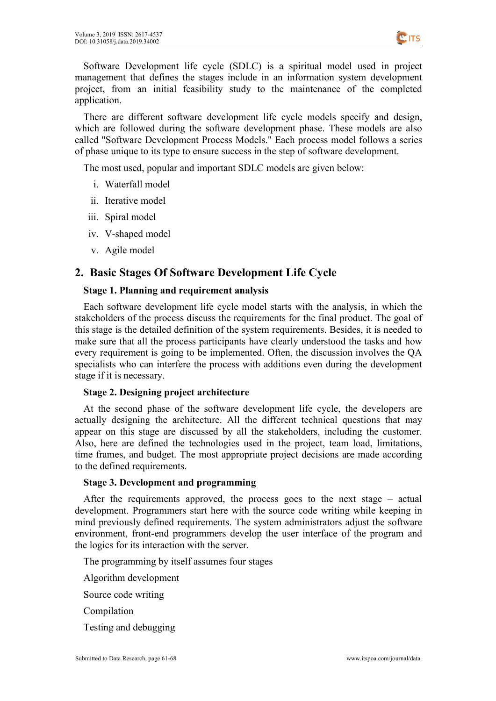

Software Development life cycle (SDLC) is a spiritual model used in project management that defines the stages include in an information system development project, from an initial feasibility study to the maintenance of the completed application.

There are different software development life cycle models specify and design, which are followed during the software development phase. These models are also called "Software Development Process Models." Each process model follows a series of phase unique to its type to ensure success in the step of software development.

The most used, popular and important SDLC models are given below:

- i. [Waterfall](https://en.wikipedia.org/wiki/Waterfall_model) model
- ii. [Iterative](https://en.wikipedia.org/wiki/Iterative_and_incremental_development) model
- iii. Spiral [model](https://en.wikipedia.org/wiki/Spiral_model)
- iv. [V-shaped](https://en.wikipedia.org/wiki/V-Model_(software_development)) model
- v. Agile [model](https://en.wikipedia.org/wiki/Agile_software_development)

# **2. Basic Stages Of Software Development Life Cycle**

#### **Stage 1. Planning and requirement analysis**

Each software development life cycle model starts with the analysis, in which the stakeholders of the process discuss the requirements for the final product. The goal of this stage is the detailed definition of the system requirements. Besides, it is needed to make sure that all the process participants have clearly understood the tasks and how every requirement is going to be implemented. Often, the discussion involves the QA specialists who can interfere the process with additions even during the development stage if it is necessary.

#### **Stage 2. Designing project architecture**

At the second phase of the software development life cycle, the developers are actually designing the architecture. All the different technical questions that may appear on this stage are discussed by all the stakeholders, including the customer. Also, here are defined the technologies used in the project, team load, limitations, time frames, and budget. The most appropriate project decisions are made according to the defined requirements.

#### **Stage 3. Development and programming**

After the requirements approved, the process goes to the next stage – actual development. Programmers start here with the source code writing while keeping in mind previously defined requirements. The system administrators adjust the software environment, front-end programmers develop the user interface of the program and the logics for its interaction with the server.

The programming by itself assumes four stages

Algorithm development

Source code writing

Compilation

Testing and debugging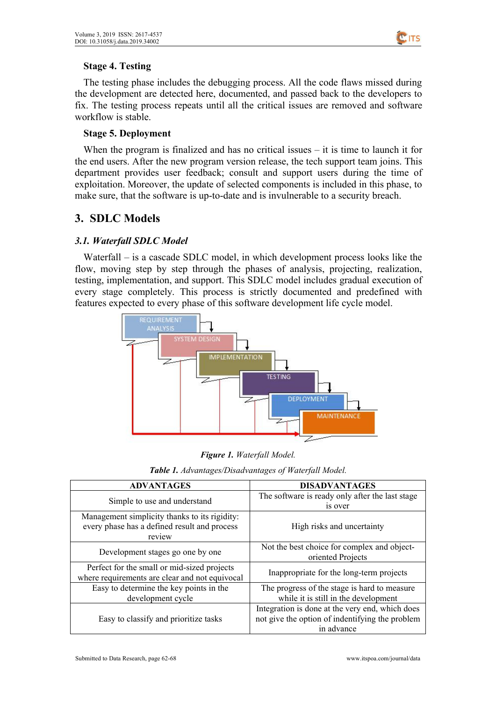

#### **Stage 4. Testing**

The testing phase includes the debugging process. All the code flaws missed during the development are detected here, documented, and passed back to the developers to fix. The testing process repeats until all the critical issues are removed and software workflow is stable.

#### **Stage 5. Deployment**

When the program is finalized and has no critical issues – it is time to launch it for the end users. After the new program version release, the tech support team joins. This department provides user feedback; consult and support users during the time of exploitation. Moreover, the update of selected components is included in this phase, to make sure, that the software is up-to-date and is invulnerable to a security breach.

# **3. SDLC Models**

#### *3.1. Waterfall SDLC Model*

Waterfall – is a cascade SDLC model, in which development process looks like the flow, moving step by step through the phases of analysis, projecting, realization, testing, implementation, and support. This SDLC model includes gradual execution of every stage completely. This process is strictly documented and predefined with features expected to every phase of this software development life cycle model.



| <b>Table 1.</b> Advantages/Disadvantages of Waterfall Model. |  |
|--------------------------------------------------------------|--|
|--------------------------------------------------------------|--|

| <b>ADVANTAGES</b>                                                                                       | <b>DISADVANTAGES</b>                                                                                             |
|---------------------------------------------------------------------------------------------------------|------------------------------------------------------------------------------------------------------------------|
| Simple to use and understand                                                                            | The software is ready only after the last stage<br>is over                                                       |
| Management simplicity thanks to its rigidity:<br>every phase has a defined result and process<br>review | High risks and uncertainty                                                                                       |
| Development stages go one by one                                                                        | Not the best choice for complex and object-<br>oriented Projects                                                 |
| Perfect for the small or mid-sized projects<br>where requirements are clear and not equivocal           | Inappropriate for the long-term projects                                                                         |
| Easy to determine the key points in the<br>development cycle                                            | The progress of the stage is hard to measure<br>while it is still in the development                             |
| Easy to classify and prioritize tasks                                                                   | Integration is done at the very end, which does<br>not give the option of indentifying the problem<br>in advance |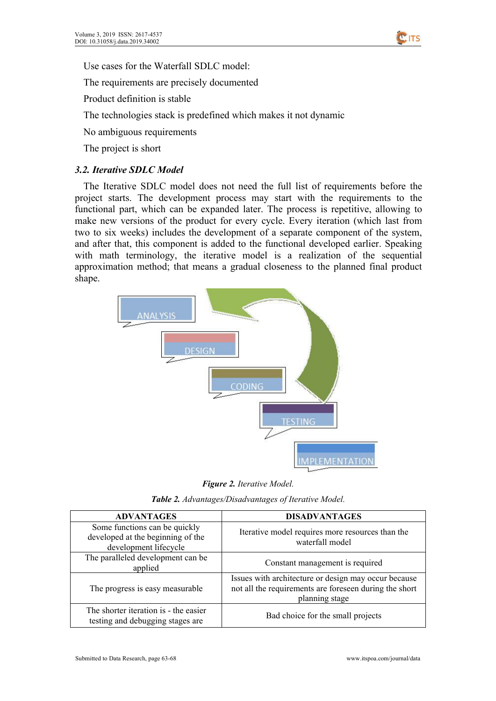

Use cases for the Waterfall SDLC model:

The requirements are precisely documented

Product definition is stable

The technologies stack is predefined which makes it not dynamic

No ambiguous requirements

The project is short

#### *3.2. Iterative SDLC Model*

The Iterative SDLC model does not need the full list of requirements before the project starts. The development process may start with the requirements to the functional part, which can be expanded later. The process is repetitive, allowing to make new versions of the product for every cycle. Every iteration (which last from two to six weeks) includes the development of a separate component of the system, and after that, this component is added to the functional developed earlier. Speaking with math terminology, the iterative model is a realization of the sequential approximation method; that means a gradual closeness to the planned final product shape.



*Figure 2. Iterative Model.*

| <b>Table 2.</b> Advantages/Disadvantages of Iterative Model. |
|--------------------------------------------------------------|
|--------------------------------------------------------------|

| <b>ADVANTAGES</b>                                                                           | <b>DISADVANTAGES</b>                                                                                                             |
|---------------------------------------------------------------------------------------------|----------------------------------------------------------------------------------------------------------------------------------|
| Some functions can be quickly<br>developed at the beginning of the<br>development lifecycle | Iterative model requires more resources than the<br>waterfall model                                                              |
| The paralleled development can be<br>applied                                                | Constant management is required                                                                                                  |
| The progress is easy measurable                                                             | Issues with architecture or design may occur because<br>not all the requirements are foreseen during the short<br>planning stage |
| The shorter iteration is - the easier<br>testing and debugging stages are                   | Bad choice for the small projects                                                                                                |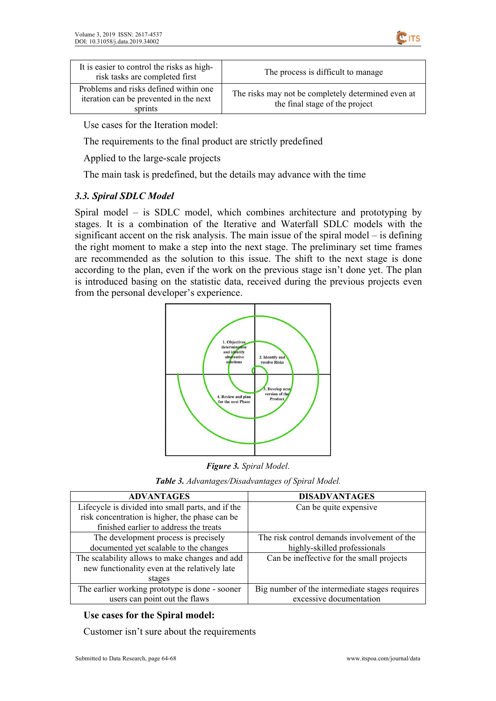

| It is easier to control the risks as high-<br>risk tasks are completed first               | The process is difficult to manage                                                   |
|--------------------------------------------------------------------------------------------|--------------------------------------------------------------------------------------|
| Problems and risks defined within one<br>iteration can be prevented in the next<br>sprints | The risks may not be completely determined even at<br>the final stage of the project |

Use cases for the Iteration model:

The requirements to the final product are strictly predefined

Applied to the large-scale projects

The main task is predefined, but the details may advance with the time

#### *3.3. Spiral SDLC Model*

Spiral model – is SDLC model, which combines architecture and prototyping by stages. It is a combination of the Iterative and Waterfall SDLC models with the significant accent on the risk analysis. The main issue of the spiral model – is defining the right moment to make a step into the next stage. The preliminary set time frames are recommended as the solution to this issue.The shift to the next stage is done according to the plan, even if the work on the previous stage isn't done yet. The plan is introduced basing on the statistic data, received during the previous projects even from the personal developer's experience.



*Figure 3. Spiral Model.*

*Table 3. Advantages/Disadvantages of Spiral Model.*

| <b>ADVANTAGES</b>                                 | <b>DISADVANTAGES</b>                           |
|---------------------------------------------------|------------------------------------------------|
| Lifecycle is divided into small parts, and if the | Can be quite expensive                         |
| risk concentration is higher, the phase can be    |                                                |
| finished earlier to address the treats            |                                                |
| The development process is precisely              | The risk control demands involvement of the    |
| documented yet scalable to the changes            | highly-skilled professionals                   |
| The scalability allows to make changes and add    | Can be ineffective for the small projects      |
| new functionality even at the relatively late     |                                                |
| stages                                            |                                                |
| The earlier working prototype is done - sooner    | Big number of the intermediate stages requires |
| users can point out the flaws                     | excessive documentation                        |

### **Use cases for the Spiral model:**

Customer isn't sure about the requirements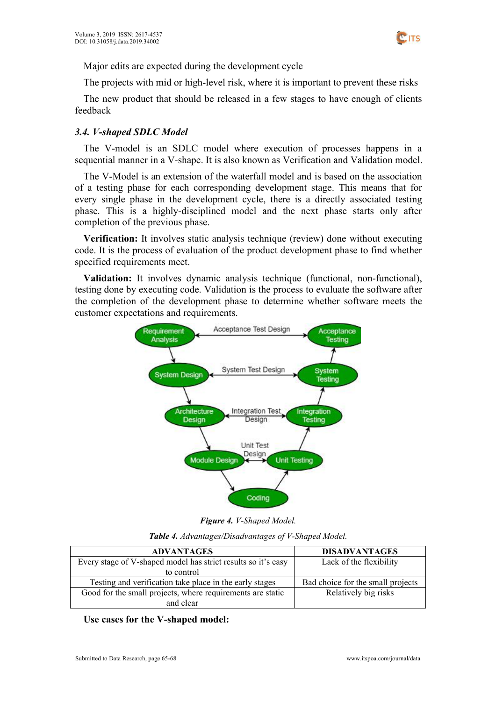

Major edits are expected during the development cycle

The projects with mid or high-level risk, where it is important to prevent these risks

The new product that should be released in a few stages to have enough of clients feedback

#### *3.4. V-shaped SDLC Model*

The V-model is an SDLC model where execution of processes happens in a sequential manner in a V-shape. It is also known as Verification and Validation model.

The V-Model is an extension of the waterfall model and is based on the association of a testing phase for each corresponding development stage. This means that for every single phase in the development cycle, there is a directly associated testing phase. This is a highly-disciplined model and the next phase starts only after completion of the previous phase.

**Verification:** It involves static analysis technique (review) done without executing code. It is the process of evaluation of the product development phase to find whether specified requirements meet.

**Validation:** It involves dynamic analysis technique (functional, non-functional), testing done by executing code. Validation is the process to evaluate the software after the completion of the development phase to determine whether software meets the customer expectations and requirements.



*Figure 4. V-Shaped Model.*

*Table 4. Advantages/Disadvantages of V-Shaped Model.*

| <b>ADVANTAGES</b>                                             | <b>DISADVANTAGES</b>              |
|---------------------------------------------------------------|-----------------------------------|
| Every stage of V-shaped model has strict results so it's easy | Lack of the flexibility           |
| to control                                                    |                                   |
| Testing and verification take place in the early stages       | Bad choice for the small projects |
| Good for the small projects, where requirements are static    | Relatively big risks              |
| and clear                                                     |                                   |

**Use cases for the V-shaped model:**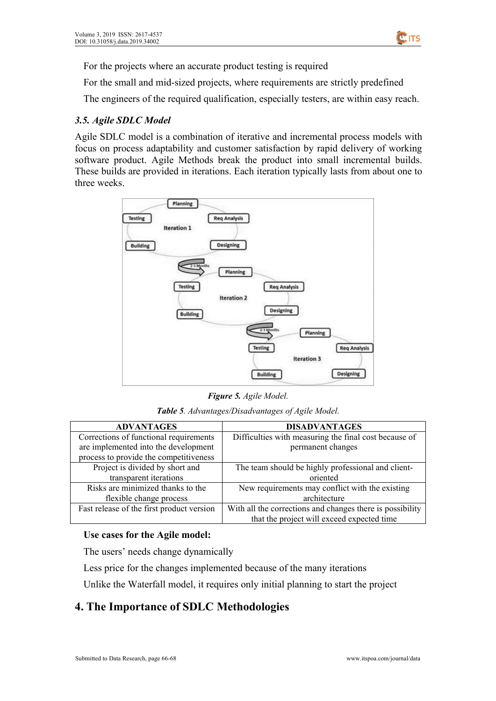

For the projects where an accurate product testing is required

For the small and mid-sized projects, where requirements are strictly predefined

The engineers of the required qualification, especially testers, are within easy reach.

#### *3.5. Agile SDLC Model*

Agile SDLC model is a combination of iterative and incremental process models with focus on process adaptability and customer satisfaction by rapid delivery of working software product. Agile Methods break the product into small incremental builds. These builds are provided in iterations. Each iteration typically lasts from about one to three weeks.



*Figure 5. Agile Model.*

*Table 5. Advantages/Disadvantages of Agile Model.*

| <b>ADVANTAGES</b>                         | <b>DISADVANTAGES</b>                                      |
|-------------------------------------------|-----------------------------------------------------------|
| Corrections of functional requirements    | Difficulties with measuring the final cost because of     |
| are implemented into the development      | permanent changes                                         |
| process to provide the competitiveness    |                                                           |
| Project is divided by short and           | The team should be highly professional and client-        |
| transparent iterations                    | oriented                                                  |
| Risks are minimized thanks to the         | New requirements may conflict with the existing           |
| flexible change process                   | architecture                                              |
| Fast release of the first product version | With all the corrections and changes there is possibility |
|                                           | that the project will exceed expected time                |

#### **Use cases for the Agile model:**

The users' needs change dynamically

Less price for the changes implemented because of the many iterations

Unlike the Waterfall model, it requires only initial planning to start the project

# **4. The Importance of SDLC Methodologies**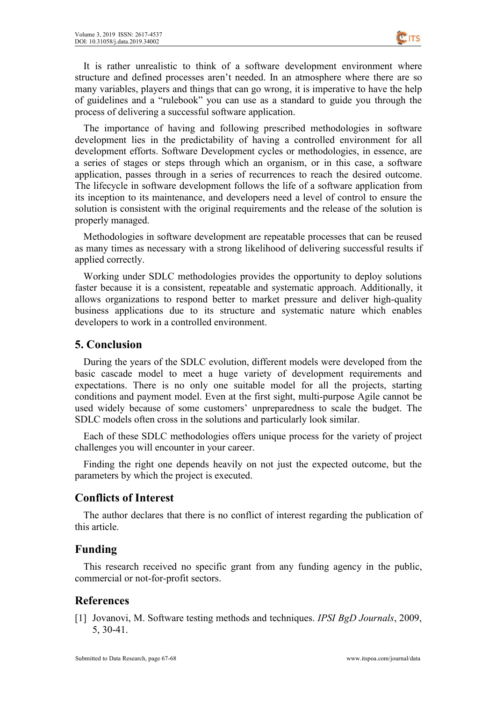

It is rather unrealistic to think of a software development environment where structure and defined processes aren't needed. In an atmosphere where there are so many variables, players and things that can go wrong, it is imperative to have the help of guidelines and a "rulebook" you can use as a standard to guide you through the process of delivering a successful software application.

The importance of having and following prescribed methodologies in software development lies in the predictability of having a controlled environment for all development efforts. Software Development cycles or methodologies, in essence, are a series of stages or steps through which an organism, or in this case, a software application, passes through in a series of recurrences to reach the desired outcome. The lifecycle in software development follows the life of a software application from its inception to its maintenance, and developers need a level of control to ensure the solution is consistent with the original requirements and the release of the solution is properly managed.

Methodologies in software development are repeatable processes that can be reused as many times as necessary with a strong likelihood of delivering successful results if applied correctly.

Working under SDLC methodologies provides the opportunity to deploy solutions faster because it is a consistent, repeatable and systematic approach. Additionally, it allows organizations to respond better to market pressure and deliver high-quality business applications due to its structure and systematic nature which enables developers to work in a controlled environment.

# **5. Conclusion**

During the years of the SDLC evolution, different models were developed from the basic cascade model to meet a huge variety of development requirements and expectations. There is no only one suitable model for all the projects, starting conditions and payment model. Even at the first sight, multi-purpose Agile cannot be used widely because of some customers' unpreparedness to scale the budget. The SDLC models often cross in the solutions and particularly look similar.

Each of these SDLC methodologies offers unique process for the variety of project challenges you will encounter in your career.

Finding the right one depends heavily on not just the expected outcome, but the parameters by which the project is executed.

# **Conflicts of Interest**

The author declares that there is no conflict of interest regarding the publication of this article.

# **Funding**

This research received no specific grant from any funding agency in the public, commercial or not-for-profit sectors.

# **References**

[1] Jovanovi, M. Software testing methods and techniques. *IPSI BgD Journals*, 2009, 5, 30-41.